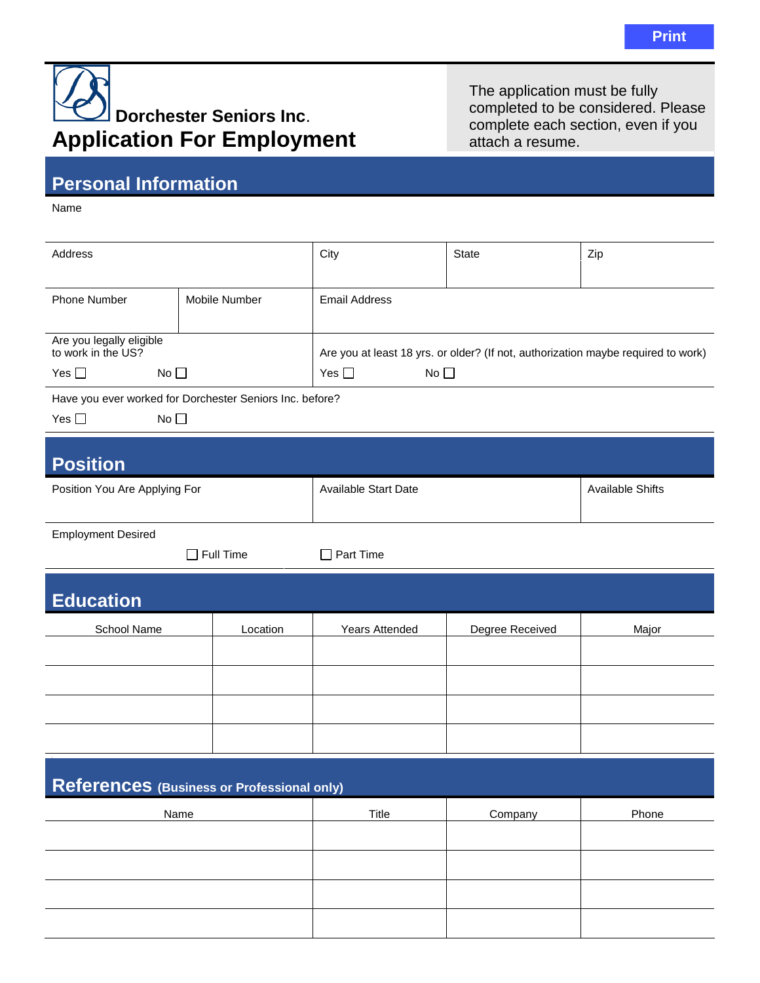## **Dorchester Seniors Inc**. **Application For Employment**

The application must be fully completed to be considered. Please complete each section, even if you attach a resume.

## **Personal Information**

Name

| Address                                                  |                  | City                                                                              | State           | Zip                     |  |  |
|----------------------------------------------------------|------------------|-----------------------------------------------------------------------------------|-----------------|-------------------------|--|--|
| <b>Phone Number</b>                                      | Mobile Number    | <b>Email Address</b>                                                              |                 |                         |  |  |
| Are you legally eligible                                 |                  |                                                                                   |                 |                         |  |  |
| to work in the US?                                       |                  | Are you at least 18 yrs. or older? (If not, authorization maybe required to work) |                 |                         |  |  |
| $No$ $\Box$<br>Yes $\square$                             |                  | Yes $\square$<br>No $\square$                                                     |                 |                         |  |  |
| Have you ever worked for Dorchester Seniors Inc. before? |                  |                                                                                   |                 |                         |  |  |
| Yes $\square$<br>No                                      |                  |                                                                                   |                 |                         |  |  |
| <b>Position</b>                                          |                  |                                                                                   |                 |                         |  |  |
| Position You Are Applying For                            |                  | <b>Available Start Date</b>                                                       |                 | <b>Available Shifts</b> |  |  |
| <b>Employment Desired</b>                                |                  |                                                                                   |                 |                         |  |  |
|                                                          | $\Box$ Full Time | $\Box$ Part Time                                                                  |                 |                         |  |  |
| <b>Education</b>                                         |                  |                                                                                   |                 |                         |  |  |
| School Name                                              | Location         | <b>Years Attended</b>                                                             | Degree Received | Major                   |  |  |
|                                                          |                  |                                                                                   |                 |                         |  |  |
|                                                          |                  |                                                                                   |                 |                         |  |  |
|                                                          |                  |                                                                                   |                 |                         |  |  |
|                                                          |                  |                                                                                   |                 |                         |  |  |
| References (Business or Professional only)               |                  |                                                                                   |                 |                         |  |  |
| Name                                                     |                  | Title                                                                             | Company         | Phone                   |  |  |
|                                                          |                  |                                                                                   |                 |                         |  |  |
|                                                          |                  |                                                                                   |                 |                         |  |  |
|                                                          |                  |                                                                                   |                 |                         |  |  |
|                                                          |                  |                                                                                   |                 |                         |  |  |